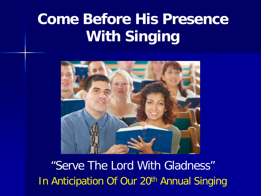# **Come Before His Presence With Singing**



"Serve The Lord With Gladness" In Anticipation Of Our 20<sup>th</sup> Annual Singing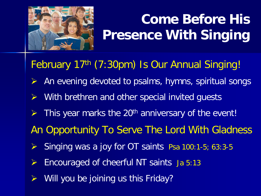

# **Come Before His Presence With Singing**

February 17th (7:30pm) Is Our Annual Singing!

- $\triangleright$  An evening devoted to psalms, hymns, spiritual songs
- $\triangleright$  With brethren and other special invited quests
- $\triangleright$  This year marks the 20<sup>th</sup> anniversary of the event!

An Opportunity To Serve The Lord With Gladness

- Singing was a joy for OT saints Psa 100:1-5; 63:3-5
- Encouraged of cheerful NT saints Ja 5:13
- Will you be joining us this Friday?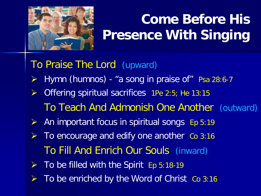

## **Come Before His Presence With Singing**

To Praise The Lord (upward)

- Hymn (humnos) "a song in praise of" Psa 28:6-7
- $\triangleright$  Offering spiritual sacrifices 1Pe 2:5; He 13:15 To Teach And Admonish One Another (outward)
- $\triangleright$  An important focus in spiritual songs Ep 5:19
- $\triangleright$  To encourage and edify one another Co 3:16 To Fill And Enrich Our Souls (inward)
- $\triangleright$  To be filled with the Spirit Ep 5:18-19
	- To be enriched by the Word of Christ Co 3:16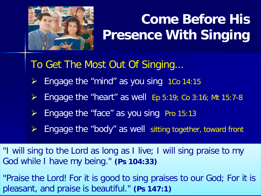

#### **Come Before His Presence With Singing**

To Get The Most Out Of Singing...

- $\triangleright$  Engage the "mind" as you sing 1 Co 14:15
- Engage the "heart" as well Ep 5:19; Co 3:16; Mt 15:7-8
- $\triangleright$  Engage the "face" as you sing Pro 15:13
- Engage the "body" as well sitting together, toward front

"I will sing to the Lord as long as I live; I will sing praise to my God while I have my being." **(Ps 104:33)**

"Praise the Lord! For it is good to sing praises to our God; For it is pleasant, and praise is beautiful." **(Ps 147:1)**